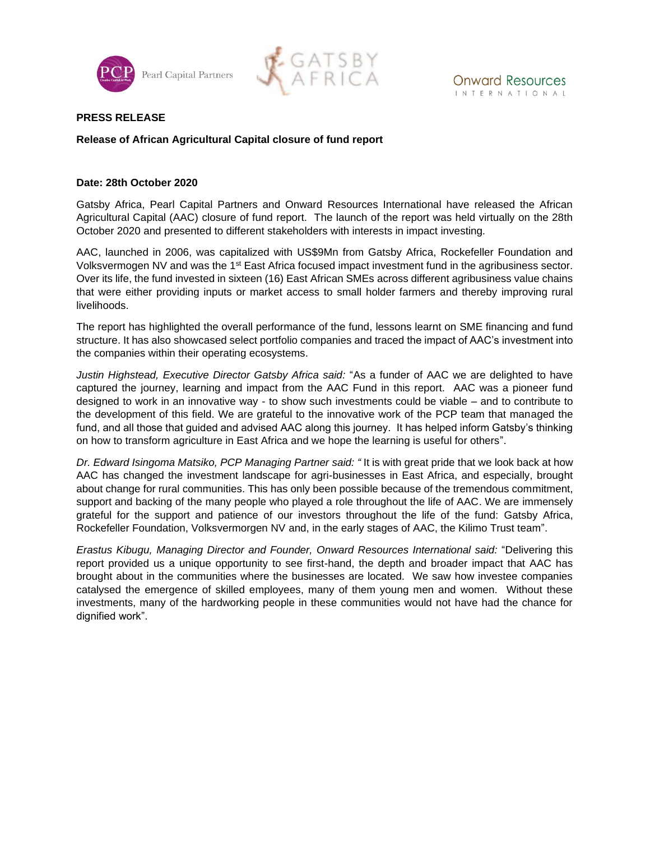



## **PRESS RELEASE**

# **Release of African Agricultural Capital closure of fund report**

## **Date: 28th October 2020**

Gatsby Africa, Pearl Capital Partners and Onward Resources International have released the African Agricultural Capital (AAC) closure of fund report. The launch of the report was held virtually on the 28th October 2020 and presented to different stakeholders with interests in impact investing.

AAC, launched in 2006, was capitalized with US\$9Mn from Gatsby Africa, Rockefeller Foundation and Volksvermogen NV and was the 1<sup>st</sup> East Africa focused impact investment fund in the agribusiness sector. Over its life, the fund invested in sixteen (16) East African SMEs across different agribusiness value chains that were either providing inputs or market access to small holder farmers and thereby improving rural livelihoods.

The report has highlighted the overall performance of the fund, lessons learnt on SME financing and fund structure. It has also showcased select portfolio companies and traced the impact of AAC's investment into the companies within their operating ecosystems.

*Justin Highstead, Executive Director Gatsby Africa said:* "As a funder of AAC we are delighted to have captured the journey, learning and impact from the AAC Fund in this report. AAC was a pioneer fund designed to work in an innovative way - to show such investments could be viable – and to contribute to the development of this field. We are grateful to the innovative work of the PCP team that managed the fund, and all those that guided and advised AAC along this journey. It has helped inform Gatsby's thinking on how to transform agriculture in East Africa and we hope the learning is useful for others".

*Dr. Edward Isingoma Matsiko, PCP Managing Partner said: "* It is with great pride that we look back at how AAC has changed the investment landscape for agri-businesses in East Africa, and especially, brought about change for rural communities. This has only been possible because of the tremendous commitment, support and backing of the many people who played a role throughout the life of AAC. We are immensely grateful for the support and patience of our investors throughout the life of the fund: Gatsby Africa, Rockefeller Foundation, Volksvermorgen NV and, in the early stages of AAC, the Kilimo Trust team".

*Erastus Kibugu, Managing Director and Founder, Onward Resources International said:* "Delivering this report provided us a unique opportunity to see first-hand, the depth and broader impact that AAC has brought about in the communities where the businesses are located. We saw how investee companies catalysed the emergence of skilled employees, many of them young men and women. Without these investments, many of the hardworking people in these communities would not have had the chance for dignified work".